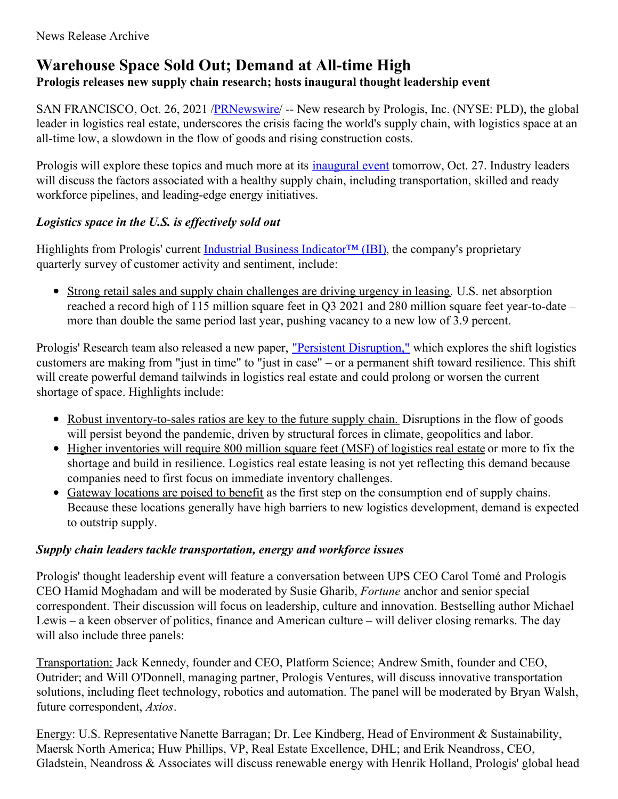# **Warehouse Space Sold Out; Demand at All-time High**

### **Prologis releases new supply chain research; hosts inaugural thought leadership event**

SAN FRANCISCO, Oct. 26, 2021 /*PRNewswire*/ -- New research by Prologis, Inc. (NYSE: PLD), the global leader in logistics real estate, underscores the crisis facing the world's supply chain, with logistics space at an all-time low, a slowdown in the flow of goods and rising construction costs.

Prologis will explore these topics and much more at its *[inaugural](https://c212.net/c/link/?t=0&l=en&o=3335463-1&h=1970883716&u=https%3A%2F%2Fwww.prologis.events%2F&a=inaugural+event) event* tomorrow, Oct. 27. Industry leaders will discuss the factors associated with a healthy supply chain, including transportation, skilled and ready workforce pipelines, and leading-edge energy initiatives.

### *Logistics space in the U.S. is ef ectively sold out*

Highlights from Prologis' current Industrial Business Indicator<sup>™</sup> (IBI), the company's proprietary quarterly survey of customer activity and sentiment, include:

Strong retail sales and supply chain challenges are driving urgency in leasing*.* U.S. net absorption reached a record high of 115 million square feet in Q3 2021 and 280 million square feet year-to-date – more than double the same period last year, pushing vacancy to a new low of 3.9 percent.

Prologis' Research team also released a new paper, "Persistent [Disruption,"](https://c212.net/c/link/?t=0&l=en&o=3335463-1&h=2745848793&u=https%3A%2F%2Fwww.prologis.com%2Fnews-research%2Fglobal-insights%2Fpersistent-disruption-prologis-research-special-report&a=%22Persistent+Disruption%2C%22) which explores the shift logistics customers are making from "just in time" to "just in case" – or a permanent shift toward resilience. This shift will create powerful demand tailwinds in logistics real estate and could prolong or worsen the current shortage of space. Highlights include:

- Robust inventory-to-sales ratios are key to the future supply chain. Disruptions in the flow of goods will persist beyond the pandemic, driven by structural forces in climate, geopolitics and labor.
- Higher inventories will require 800 million square feet (MSF) of logistics real estate or more to fix the shortage and build in resilience. Logistics real estate leasing is not yet reflecting this demand because companies need to first focus on immediate inventory challenges.
- Gateway locations are poised to benefit as the first step on the consumption end of supply chains. Because these locations generally have high barriers to new logistics development, demand is expected to outstrip supply.

### *Supply chain leaders tackle transportation, energy and workforce issues*

Prologis' thought leadership event will feature a conversation between UPS CEO Carol Tomé and Prologis CEO Hamid Moghadam and will be moderated by Susie Gharib, *Fortune* anchor and senior special correspondent. Their discussion will focus on leadership, culture and innovation. Bestselling author Michael Lewis – a keen observer of politics, finance and American culture – will deliver closing remarks. The day will also include three panels:

Transportation: Jack Kennedy, founder and CEO, Platform Science; Andrew Smith, founder and CEO, Outrider; and Will O'Donnell, managing partner, Prologis Ventures, will discuss innovative transportation solutions, including fleet technology, robotics and automation. The panel will be moderated by Bryan Walsh, future correspondent, *Axios*.

Energy: U.S. Representative Nanette Barragan; Dr. Lee Kindberg, Head of Environment & Sustainability, Maersk North America; Huw Phillips, VP, Real Estate Excellence, DHL; and Erik Neandross, CEO, Gladstein, Neandross & Associates will discuss renewable energy with Henrik Holland, Prologis' global head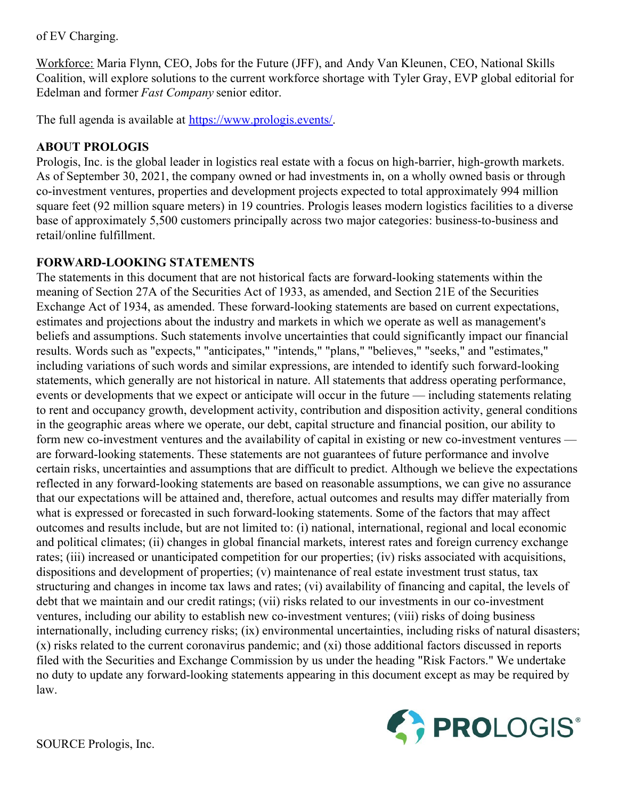of EV Charging.

Workforce: Maria Flynn, CEO, Jobs for the Future (JFF), and Andy Van Kleunen, CEO, National Skills Coalition, will explore solutions to the current workforce shortage with Tyler Gray, EVP global editorial for Edelman and former *Fast Company* senior editor.

The full agenda is available at [https://www.prologis.events/](https://c212.net/c/link/?t=0&l=en&o=3335463-1&h=1130241741&u=https%3A%2F%2Fwww.prologis.events%2F&a=https%3A%2F%2Fwww.prologis.events%2F).

### **ABOUT PROLOGIS**

Prologis, Inc. is the global leader in logistics real estate with a focus on high-barrier, high-growth markets. As of September 30, 2021, the company owned or had investments in, on a wholly owned basis or through co-investment ventures, properties and development projects expected to total approximately 994 million square feet (92 million square meters) in 19 countries. Prologis leases modern logistics facilities to a diverse base of approximately 5,500 customers principally across two major categories: business-to-business and retail/online fulfillment.

## **FORWARD-LOOKING STATEMENTS**

The statements in this document that are not historical facts are forward-looking statements within the meaning of Section 27A of the Securities Act of 1933, as amended, and Section 21E of the Securities Exchange Act of 1934, as amended. These forward-looking statements are based on current expectations, estimates and projections about the industry and markets in which we operate as well as management's beliefs and assumptions. Such statements involve uncertainties that could significantly impact our financial results. Words such as "expects," "anticipates," "intends," "plans," "believes," "seeks," and "estimates," including variations of such words and similar expressions, are intended to identify such forward-looking statements, which generally are not historical in nature. All statements that address operating performance, events or developments that we expect or anticipate will occur in the future — including statements relating to rent and occupancy growth, development activity, contribution and disposition activity, general conditions in the geographic areas where we operate, our debt, capital structure and financial position, our ability to form new co-investment ventures and the availability of capital in existing or new co-investment ventures are forward-looking statements. These statements are not guarantees of future performance and involve certain risks, uncertainties and assumptions that are difficult to predict. Although we believe the expectations reflected in any forward-looking statements are based on reasonable assumptions, we can give no assurance that our expectations will be attained and, therefore, actual outcomes and results may differ materially from what is expressed or forecasted in such forward-looking statements. Some of the factors that may affect outcomes and results include, but are not limited to: (i) national, international, regional and local economic and political climates; (ii) changes in global financial markets, interest rates and foreign currency exchange rates; (iii) increased or unanticipated competition for our properties; (iv) risks associated with acquisitions, dispositions and development of properties; (v) maintenance of real estate investment trust status, tax structuring and changes in income tax laws and rates; (vi) availability of financing and capital, the levels of debt that we maintain and our credit ratings; (vii) risks related to our investments in our co-investment ventures, including our ability to establish new co-investment ventures; (viii) risks of doing business internationally, including currency risks; (ix) environmental uncertainties, including risks of natural disasters; (x) risks related to the current coronavirus pandemic; and (xi) those additional factors discussed in reports filed with the Securities and Exchange Commission by us under the heading "Risk Factors." We undertake no duty to update any forward-looking statements appearing in this document except as may be required by law.